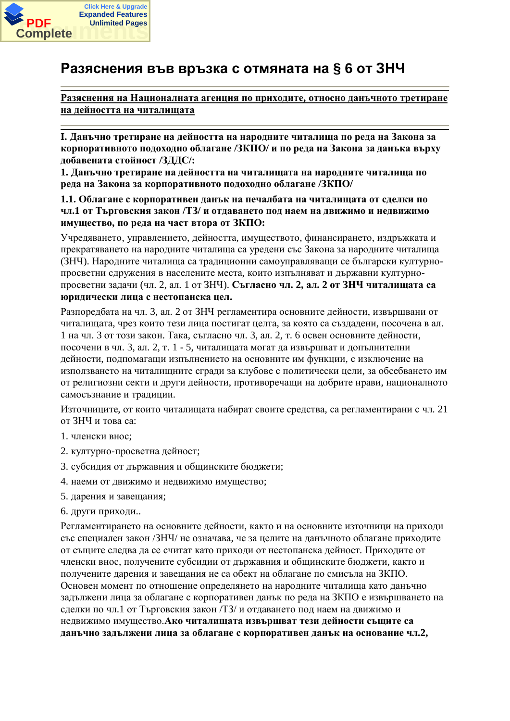

# Разяснения във връзка с отмяната на § 6 от ЗНЧ

Разяснения на Националната агенция по приходите, относно данъчното третиране на лейността на читалишата

I. Данъчно третиране на дейността на народните читалища по реда на Закона за корпоративното подоходно облагане /ЗКПО/ и по реда на Закона за данъка върху  $\mu$ абавената стойност /ЗДДС/:

1. Данъчно третиране на дейността на читалищата на народните читалища по **реда на Закона за корпоративното подоходно облагане /ЗКПО/** 

**1.1. Облагане с корпоративен ланък на печалбата на читалишата от слелки по** чл.1 от Търговския закон /ТЗ/ и отдаването под наем на движимо и недвижимо **ИМУЩЕСТВО, ПО РЕДА НА ЧАСТ ВТОРА ОТ ЗКПО:** 

Учредяването, управлението, дейността, имуществото, финансирането, издръжката и прекратяването на народните читалища са уредени със Закона за народните читалища (ЗНЧ). Народните читалища са традиционни самоуправляващи се български културнопросветни сдружения в населените места, които изпълняват и държавни културнопросветни задачи (чл. 2, ал. 1 от ЗНЧ). Съгласно чл. 2, ал. 2 от ЗНЧ читалищата са **юрилически лица с нестопанска цел.** 

Разпоредбата на чл. 3, ал. 2 от ЗНЧ регламентира основните дейности, извършвани от читалищата, чрез които тези лица постигат целта, за която са създадени, посочена в ал. 1 на чл. 3 от този закон. Така, съгласно чл. 3, ал. 2, т. 6 освен основните дейности, посочени в чл. 3, ал. 2, т. 1 - 5, читалищата могат да извършват и допълнителни дейности, подпомагащи изпълнението на основните им функции, с изключение на използването на читалищните сгради за клубове с политически цели, за обсебването им от религиозни секти и други дейности, противоречащи на добрите нрави, националното самосъзнание и традиции.

Източниците, от които читалищата набират своите средства, са регламентирани с чл. 21 от ЗНЧ и това са:

- 1. членски внос:
- 2. културно-просветна дейност;
- 3. субсилия от лържавния и общинските бюлжети:
- 4. наеми от движимо и недвижимо имущество;
- 5. дарения и завещания;
- 6. други приходи..

Регламентирането на основните дейности, както и на основните източници на приходи със специален закон /ЗНЧ/ не означава, че за целите на данъчното облагане приходите от същите следва да се считат като приходи от нестопанска дейност. Приходите от членски внос, получените субсилии от лържавния и обшинските бюлжети, както и получените дарения и завещания не са обект на облагане по смисъла на ЗКПО. Основен момент по отношение определянето на народните читалища като данъчно залължени лица за облагане с корпоративен ланък по рела на ЗКПО е извършването на сделки по чл.1 от Търговския закон /ТЗ/ и отдаването под наем на движимо и недвижимо имущество. Ако читалищата извършват тези дейности същите са данъчно задължени лица за облагане с корпоративен данък на основание чл.2,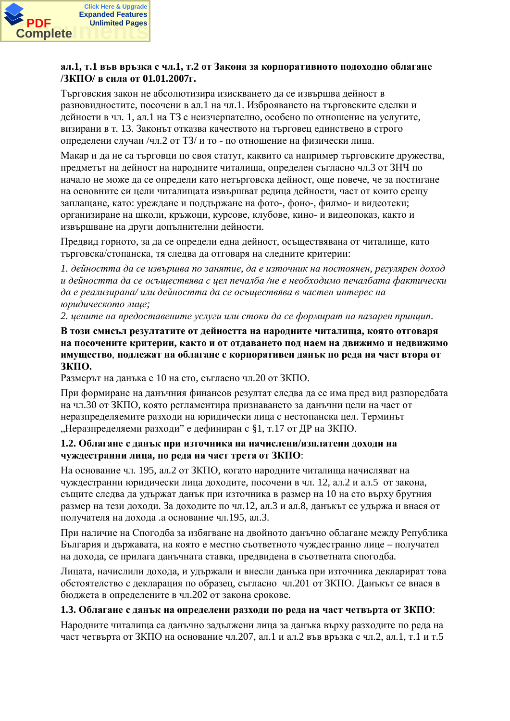

## ал.1, т.1 във връзка с чл.1, т.2 от Закона за корпоративното подоходно облагане **ɁɄɉɈ/ ɜɫɢɥɚɨɬ 01.01.2007ɝ.**

Тьрговския закон не абсолютизира изискването да се извършва дейност в разновидностите, посочени в ал.1 на чл.1. Изброяването на търговските сделки и дейности в чл. 1, ал.1 на ТЗ е неизчерпателно, особено по отношение на услугите, визирани в т. 13. Законът отказва качеството на търговец единствено в строго определени случаи /чл.2 от ТЗ/ и то - по отношение на физически лица.

Макар и да не са търговци по своя статут, каквито са например търговските дружества, предметът на дейност на народните читалища, определен съгласно чл.3 от ЗНЧ по начало не може да се определи като нетърговска дейност, още повече, че за постигане на основните си цели читалищата извършват редица дейности, част от които срещу заплашане, като: уреждане и поллържане на фото-, фоно-, филмо- и вилеотеки; организиране на школи, кръжоци, курсове, клубове, кино- и видеопоказ, както и извършване на други допълнителни дейности.

Предвид горното, за да се определи една дейност, осъществявана от читалище, като търговска/стопанска, тя следва да отговаря на следните критерии:

**1. дейността да се извършва по занятие, да е източник на постоянен, регулярен доход**  $u$ дейността да се осъществява с иел печалба /не е необходимо печалбата фактически да е реализирана/ или дейността да се осъществява в частен интерес на  $b$ *юридическото лице*;

2. иените на предоставените услуги или стоки да се формират на пазарен принцип.

## В този смисъл резултатите от дейността на народните читалища, която отговаря НА ПОСОЧЕНИТЕ КРИТЕРИИ, КАКТО И ОТ ОТДАВАНЕТО ПОД НАЕМ НА ДВИЖИМО И НЕДВИЖИМО имушество, поллежат на облагане с корпоративен ланък по рела на част втора от **ЗКПО.**

Размерът на данъка е 10 на сто, съгласно чл.20 от ЗКПО.

При формиране на данъчния финансов резултат следва да се има пред вид разпоредбата на чл.30 от ЗКПО, която регламентира признаването за данъчни цели на част от неразпределяемите разходи на юридически лица с нестопанска цел. Терминът "Неразпределяеми разходи" е дефиниран с \$1, т.17 от ДР на ЗКПО.

#### 1.2. Облагане с данък при източника на начислени/изплатени доходи на чуждестранни лица, по реда на част трета от ЗКПО:

На основание чл. 195, ал.2 от ЗКПО, когато народните читалища начисляват на чуждестранни юридически лица доходите, посочени в чл. 12, ал.2 и ал.5 от закона, същите следва да удържат данък при източника в размер на 10 на сто върху брутния размер на тези доходи. За доходите по чл.12, ал.3 и ал.8, данъкът се удържа и внася от получателя на дохода .а основание чл.195, ал.3.

При наличие на Спогодба за избягване на двойното данъчно облагане между Република България и държавата, на която е местно съответното чуждестранно лице – получател на дохода, се прилага данъчната ставка, предвидена в съответната спогодба.

Лицата, начислили дохода, и удържали и внесли данъка при източника декларират това обстоятелство с декларация по образец, съгласно чл.201 от ЗКПО. Данъкът се внася в бюджета в определените в чл.202 от закона срокове.

#### **1.3. Облагане с данък на определени разходи по реда на част четвърта от ЗКПО:**

Народните читалища са данъчно задължени лица за данъка върху разходите по реда на част четвърта от ЗКПО на основание чл.207, ал.1 и ал.2 във връзка с чл.2, ал.1, т.1 и т.5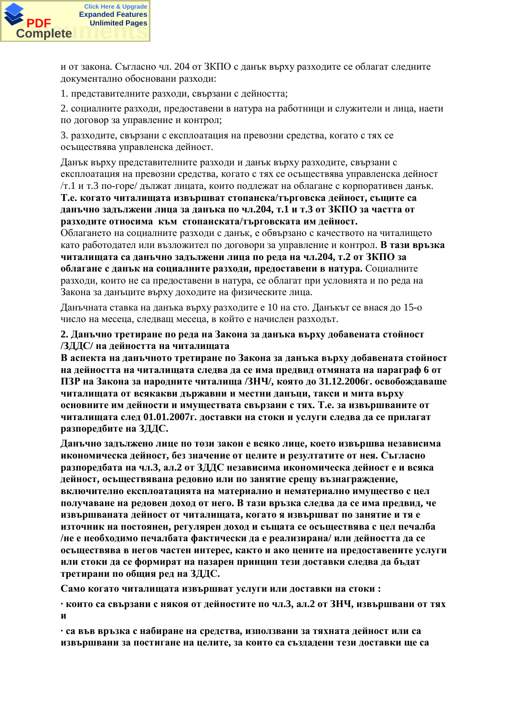

и от закона. Съгласно чл. 204 от ЗКПО с данък върху разходите се облагат следните документално обосновани разходи:

1. представителните разходи, свързани с дейността;

2. социалните разходи, предоставени в натура на работници и служители и лица, наети по договор за управление и контрол;

3. разходите, свързани с експлоатация на превозни средства, когато с тях се осъществява управленска дейност.

Данък върху представителните разходи и данък върху разходите, свързани с експлоатация на превозни средства, когато с тях се осъществява управленска дейност  $\pi$ .1 и т.3 по-горе/ дължат лицата, които подлежат на облагане с корпоративен данък. Т.е. когато читалищата извършват стопанска/търговска дейност, същите са данъчно задължени лица за данъка по чл.204, т.1 и т.3 от ЗКПО за частта от **разходите относима към стопанската/търговската им дейност.** 

Облагането на социалните разходи с данък, е обвързано с качеството на читалището като работодател или възложител по договори за управление и контрол. В тази връзка читалищата са данъчно задължени лица по реда на чл.204, т.2 от ЗКПО за **ы благане с ланък на социалните разхоли, предоставени в натура. Социалните** разходи, които не са предоставени в натура, се облагат при условията и по реда на Закона за данъците върху доходите на физическите лица.

Данъчната ставка на данъка върху разходите е 10 на сто. Данъкът се внася до 15-о число на месеца, следващ месеца, в който е начислен разходът.

## 2. Данъчно третиране по реда на Закона за данъка върху добавената стойност /ЗДДС/ на дейността на читалищата

В аспекта на данъчното третиране по Закона за данъка върху добавената стойност **на дейността на читалищата следва да се има предвид отмяната на параграф 6 от**  $\Pi$ ЗР на Закона за народните читалища /ЗНЧ/, която до 31.12.2006г. освобождаваше ЧИТАЛИЩАТА ОТ ВСЯКАКВИ ДЪРЖАВНИ И МЕСТНИ ДАНЪЦИ, ТАКСИ И МИТА ВЪРХУ **исновните им дейности и имуществата свързани с тях. Т.е. за извършваните от** читалищата след 01.01.2007г. доставки на стоки и услуги следва да се прилагат **изпоредбите на ЗДДС.** 

Данъчно задължено лице по този закон е всяко лице, което извършва независима икономическа дейност, без значение от целите и резултатите от нея. Съгласно разпоредбата на чл.3, ал.2 от ЗДДС независима икономическа дейност е и всяка дейност, осъществявана редовно или по занятие срещу възнаграждение, включително експлоатацията на материално и нематериално имущество с цел ПОЛУЧАВАНЕ НА РЕЛОВЕН ЛОХОЛ ОТ НЕГО. В ТАЗИ ВРЪЗКА СЛЕЛВА ЛА СЕ ИМА ПРЕЛВИЛ, ЧЕ ИЗВЪРШВАНАТА ДЕЙНОСТ ОТ ЧИТАЛИЩАТА, КОГАТО Я ИЗВЪРШВАТ ПО ЗАНЯТИЕ И ТЯ Е източник на постоянен, регулярен доход и същата се осъществява с цел печалба /не е необходимо печалбата фактически да е реализирана/ или дейността да се **исьшествява в негов частен интерес, както и ако цените на прелоставените услуги** или стоки да се формират на пазарен принцип тези доставки следва да бълат третирани по общия ред на ЗДДС.

Само когато читалищата извършват услуги или доставки на стоки:

• които са свързани с някоя от дейностите по чл.3, ал.2 от ЗНЧ, извършвани от тях  $\mathbf{u}$ 

• са във връзка с набиране на средства, използвани за тяхната дейност или са извършвани за постигане на целите, за които са създадени тези доставки ще са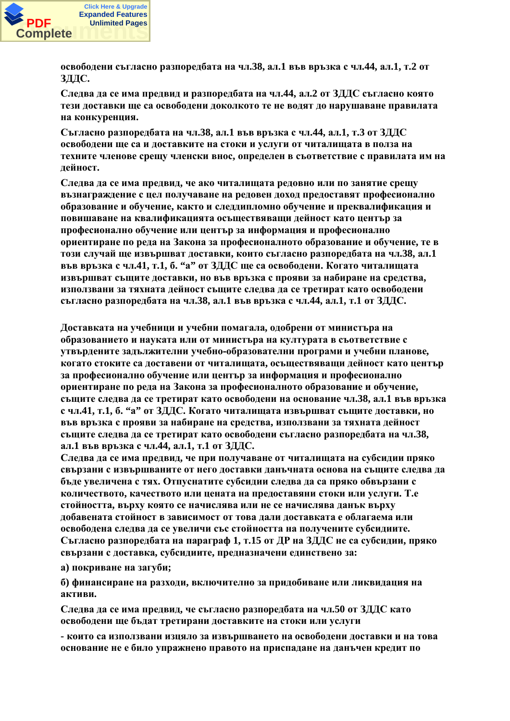

**i**OСВОбодени съгласно разпоредбата на чл.38, ал.1 във връзка с чл.44, ал.1, т.2 от **ЗДДС.** 

Следва да се има предвид и разпоредбата на чл.44, ал.2 от ЗДДС съгласно която тези лоставки ше са освоболени локолкото те не волят ло нарушаване правилата на конкуренция.

 $C$ ъгласно разпорелбата на чл.38, ал.1 във връзка с чл.44, ал.1, т.3 от ЗЛЛС **освободени ще са и доставките на стоки и услуги от читалищата в полза на** техните членове срещу членски внос, определен в съответствие с правилата им на  $\overline{A}$ ейност.

Следва да се има предвид, че ако читалищата редовно или по занятие срещу **възнаграждение с цел получаване на редовен доход предоставят професионално эбразование и обучение, както и следдипломно обучение и преквалификация и** повишаване на квалификацията осъществяващи дейност като център за професионално обучение или център за информация и професионално **изнентиране по реда на Закона за професионалното образование и обучение, те в** този случай ще извършват доставки, които съгласно разпоредбата на чл.38, ал.1 във връзка с чл.41, т.1, б. "а" от ЗДДС ще са освободени. Когато читалищата **ИЗВЪРШВАТ СЪЩИТЕ ДОСТАВКИ, НО ВЪВ ВРЪЗКА С ПРОЯВИ ЗА НАбИРАНЕ НА СРЕДСТВА,** използвани за тяхната дейност същите следва да се третират като освободени  **разпоредбата на чл.38, ал.1 във връзка с чл.44, ал.1, т.1 от ЗДДС.** 

Доставката на учебници и учебни помагала, одобрени от министъра на **образованието и науката или от министъра на културата в съответствие с** vтвърдените задължителни учебно-образователни програми и учебни планове, **когато стоките са доставени от читалищата, осъществяващи дейност като център** за професионално обучение или център за информация и професионално **ыриентиране по реда на Закона за професионалното образование и обучение,** същите следва да се третират като освободени на основание чл.38, ал.1 във връзка  $c$  чл.41, т.1, б. "а" от ЗДДС. Когато читалищата извършват същите доставки, но във връзка с прояви за набиране на средства, използвани за тяхната дейност същите следва да се третират като освободени съгласно разпоредбата на чл.38, **ал.1 във връзка с чл.44, ал.1, т.1 от ЗДДС.** 

Слелва ла се има прелвил, че при получаване от читалишата на субсилии пряко свързани с извършваните от него доставки данъчната основа на същите следва да бъде увеличена с тях. Отпуснатите субсидии следва да са пряко обвързани с количеството, качеството или пената на прелоставяни стоки или услуги. Т.е стойността, върху която се начислява или не се начислява данък върху добавената стойност в зависимост от това дали доставката е облагаема или **• освободена следва да се увеличи със стойността на получените субсидиите.** Съгласно разпоредбата на параграф 1, т.15 от ДР на ЗДДС не са субсидии, пряко свързани с доставка, субсидиите, предназначени единствено за:

 $\bf{a}$ ) покриване на загуби:

**б) финансиране на разхоли, включително за прилобиване или ликвилация на активи.** 

Следва да се има предвид, че съгласно разпоредбата на чл.50 от ЗДДС като **освободени ще бъдат третирани доставките на стоки или услуги** 

**- които са използвани изцяло за извършването на освободени доставки и на това основание не е било упражнено правото на приспадане на данъчен кредит по**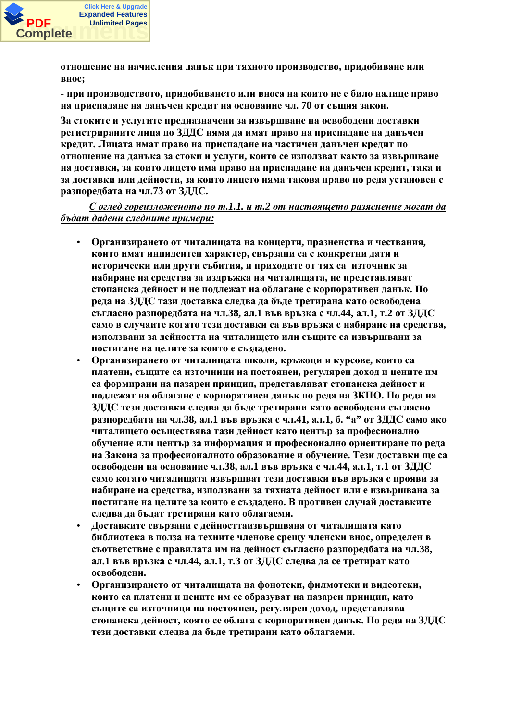

**отношение на начисления данък при тяхното производство, придобиване или ɜɧɨɫ;**

**- при производството, придобиването или вноса на които не е било налице право** На приспалане на ланъчен крелит на основание чл. 70 от същия закон.

За стоките и услугите предназначени за извършване на освободени доставки **юегистрираните лица по ЗДДС няма да имат право на приспадане на данъчен кредит. Лицата имат право на приспадане на частичен данъчен кредит по утношение на данъка за стоки и услуги, които се използват както за извършване НА ДОСТАВКИ, ЗА КОИТО ЛИЦЕТО ИМА ПРАВО НА ПРИСПАДАНЕ НА ДАНЪЧЕН КРЕДИТ, ТАКА И** за доставки или дейности, за които лицето няма такова право по реда установен с **изпоредбата на чл.73 от ЗДДС.** 

 $\mathbf{C}$  оглед гореизложеното по т.1.1. и т.2 от настоящето разяснение могат да  $$ 

- Организирането от читалищата на концерти, празненства и чествания, които имат инцидентен характер, свързани са с конкретни дати и исторически или други събития, и приходите от тях са източник за набиране на средства за издръжка на читалищата, не представляват стопанска дейност и не подлежат на облагане с корпоративен данък. По реда на ЗДДС тази доставка следва да бъде третирана като освободена съгласно разпоредбата на чл.38, ал.1 във връзка с чл.44, ал.1, т.2 от ЗДДС само в случаите когато тези доставки са във връзка с набиране на средства, използвани за дейността на читалището или същите са извършвани за ПОСТИГАНЕ НА ЦЕЛИТЕ ЗА КОИТО Е СЪЗЛАДЕНО.
- Организирането от читалищата школи, кръжоци и курсове, които са **ПЛАТЕНИ, СЪЩИТЕ СА ИЗТОЧНИЦИ НА ПОСТОЯНЕН, РЕГУЛЯРЕН ЛОХОЛ И ЦЕНИТЕ ИМ** са формирани на пазарен принцип, представляват стопанска дейност и подлежат на облагане с корпоративен данък по реда на ЗКПО. По реда на ЗДДС тези доставки следва да бъде третирани като освободени съгласно **paзпоредбата на чл.38, ал.1 във връзка с чл.41, ал.1, б. "a" от ЗДДС само ако** читалището осъществява тази дейност като център за професионално **обучение или център за информация и професионално ориентиране по реда** на Закона за професионалното образование и обучение. Тези доставки ще са **освободени на основание чл.38, ал.1 във връзка с чл.44, ал.1, т.1 от ЗДДС** само когато читалищата извършват тези доставки във връзка с прояви за набиране на средства, използвани за тяхната дейност или е извършвана за постигане на целите за които е създадено. В противен случай доставките следва да бъдат третирани като облагаеми.
- Доставките свързани с дейносттаизвършвана от читалищата като **библиотека в полза на техните членове срещу членски внос, определен в** съответствие с правилата им на дейност съгласно разпоредбата на чл.38, ал.1 във връзка с чл.44, ал.1, т.3 от ЗДДС следва да се третират като  $$
- Организирането от читалищата на фонотеки, филмотеки и видеотеки, които са платени и цените им се образуват на пазарен принцип, като същите са източници на постоянен, регулярен доход, представлява **ктопанска дейност, която се облага с корпоративен данък. По реда на ЗДДС** тези доставки следва да бъде третирани като облагаеми.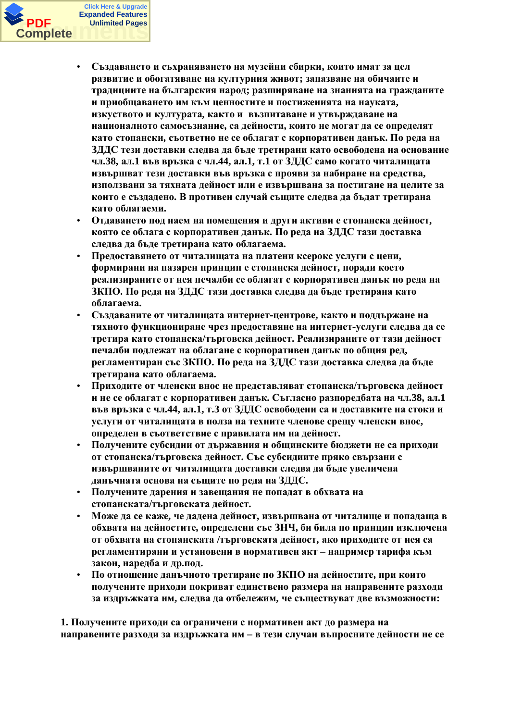

- Създаването и съхраняването на музейни сбирки, които имат за цел **развитие и обогатяване на културния живот; запазване на обичаите и** традициите на българския народ; разширяване на знанията на гражданите и приобщаването им към ценностите и постиженията на науката, **ИЗКУСТВОТО И КУЛТУРАТА, КАКТО И ВЪЗПИТАВАНЕ И УТВЪРЖДАВАНЕ НА НАЦИОНАЛНОТО САМОСЪЗНАНИЕ, СА ДЕЙНОСТИ, КОИТО НЕ МОГАТ ДА СЕ ОПРЕДЕЛЯТ** като стопански, съответно не се облагат с корпоративен данък. По реда на ЗДДС тези доставки следва да бъде третирани като освободена на основание ЧЛ.38, ал.1 във връзка с чл.44, ал.1, т.1 от ЗДДС само когато читалищата ИЗВЪРШВАТ ТЕЗИ ДОСТАВКИ ВЪВ ВРЪЗКА С ПРОЯВИ ЗА НАбИРАНЕ НА СРЕДСТВА, използвани за тяхната дейност или е извършвана за постигане на целите за които е създадено. В противен случай същите следва да бъдат третирана като облагаеми.
- Отдаването под наем на помещения и други активи е стопанска дейност, която се облага с корпоративен данък. По реда на ЗДДС тази доставка следва да бъде третирана като облагаема.
- Предоставянето от читалищата на платени ксерокс услуги с цени,  $\phi$ ормирани на пазарен принцип е стопанска дейност, поради което реализираните от нея печалби се облагат с корпоративен данък по реда на ЗКПО. По реда на ЗДДС тази доставка следва да бъде третирана като **облагаема.**
- Създаваните от читалищата интернет-центрове, както и поддържане на тяхното функциониране чрез предоставяне на интернет-услуги следва да се третира като стопанска/търговска дейност. Реализираните от тази дейност печалби подлежат на облагане с корпоративен данък по общия ред, **регламентиран със ЗКПО. По реда на ЗДДС тази доставка следва да бъде** третирана като облагаема.
- Приходите от членски внос не представляват стопанска/търговска дейност и не се облагат с корпоративен данък. Съгласно разпоредбата на чл.38, ал.1 **във връзка с чл.44, ал.1, т.3 от ЗДДС освободени са и доставките на стоки и УСЛУГИ ОТ ЧИТАЛИЩАТА В ПОЛЗА НА ТЕХНИТЕ ЧЛЕНОВЕ СРЕЩУ ЧЛЕНСКИ ВНОС, ыпределен в съответствие с правилата им на дейност.**
- Получените субсидии от държавния и общинските бюджети не са приходи **ы стопанска/търговска дейност. Със субсидиите пряко свързани с** извършваните от читалищата доставки следва да бъде увеличена данъчната основа на същите по реда на ЗДДС.
- Получените дарения и завещания не попадат в обхвата на стопанската/търговската лейност.
- Може да се каже, че дадена дейност, извършвана от читалище и попадаща в **ыбхвата на дейностите, определени със ЗНЧ, би била по принцип изключена ы обхвата на стопанската /търговската лейност, ако прихолите от нея са** регламентирани и установени в нормативен акт – например тарифа към закон, наредба и др.под.
- По отношение данъчното третиране по ЗКПО на дейностите, при които ПОЛУЧЕНИТЕ ПРИХОДИ ПОКРИВАТ ЕДИНСТВЕНО **размера на направените разходи** за издръжката им. следва да отбележим. че съществуват две възможности:

1. Получените приходи са ограничени с нормативен акт до размера на НАПРАВЕНИТЕ РАЗХОДИ ЗА ИЗДРЪЖКАТА ИМ – В ТЕЗИ СЛУЧАИ ВЪПРОСНИТЕ ДЕЙНОСТИ НЕ СЕ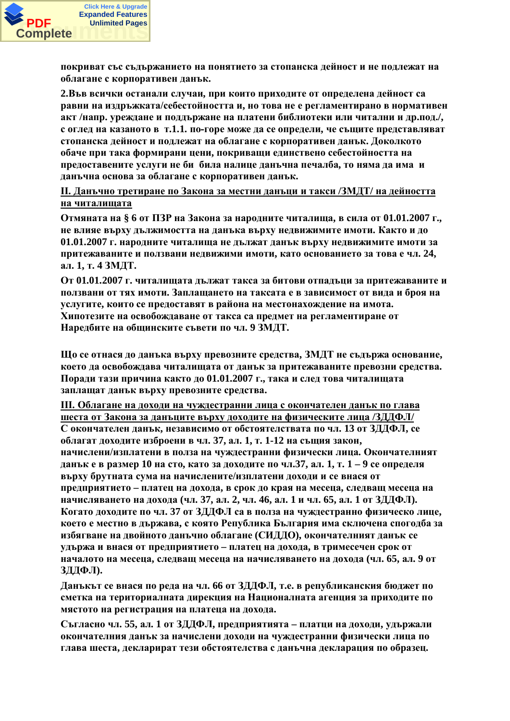

покриват със съдържанието на понятието за стопанска дейност и не подлежат на **ыблагане с корпоративен данък.** 

2.Във всички останали случаи, при които приходите от определена дейност са равни на издръжката/себестойността и, но това не е регламентирано в нормативен акт /напр. уреждане и поддържане на платени библиотеки или читални и др.под./, **с оглед на казаното в т.1.1. по-горе може да се определи, че същите представляват** стопанска дейност и подлежат на облагане с корпоративен данък. Доколкото **ыбаче при така формирани цени, покриващи единствено себестойността на** предоставените услуги не би била налице данъчна печалба, то няма да има и даньчна основа за облагане с корпоративен даньк.

**II.** Данъчно третиране по Закона за местни данъци и такси /ЗМДТ/ на дейността **НА ЧИТАЛИШАТА** 

**Отмяната на § 6 от ПЗР на Закона за народните читалища, в сила от 01.01.2007 г., НЕ ВЛИЯЕ ВЪРХУ ЛЪЛЖИМОСТТА НА ЛАНЪКА ВЪРХУ НЕЛВИЖИМИТЕ ИМОТИ. КАКТО И ЛО** 01.01.2007 г. народните читалища не дължат данък върху недвижимите имоти за притежаваните и ползвани недвижими имоти, като основанието за това е чл. 24, **ал.** 1, т. 4 ЗМДТ.

От 01.01.2007 г. читалищата дължат такса за битови отпадъци за притежаваните и ползвани от тях имоти. Заплащането на таксата е в зависимост от вида и броя на услугите, които се предоставят в района на местонахождение на имота. Хипотезите на освобожлаване от такса са прелмет на регламентиране от Наредбите на общинските съвети по чл. 9 ЗМДТ.

**ɓɨɫɟɨɬɧɚɫɹɞɨɞɚɧɴɤɚɜɴɪɯɭɩɪɟɜɨɡɧɢɬɟɫɪɟɞɫɬɜɚ, ɁɆȾɌɧɟɫɴɞɴɪɠɚɨɫɧɨɜɚɧɢɟ,** което да освобождава читалищата от данък за притежаваните превозни средства. Поради тази причина както до 01.01.2007 г., така и след това читалищата заплащат данък върху превозните средства.

Ш. Облагане на доходи на чуждестранни лица с окончателен данък по глава шеста от Закона за данъците върху доходите на физическите лица /ЗДДФЛ/ С окончателен данък, независимо от обстоятелствата по чл. 13 от ЗДДФЛ, се  $\delta$ благат доходите изброени в чл. 37, ал. 1, т. 1-12 на същия закон, **начислени/изплатени в полза на чуждестранни физически лица. Окончателният ДАНЪК е в размер 10 на сто, като за доходите по чл.37, ал. 1, т. 1 – 9 се определя** върху брутната сума на начислените/изплатени доходи и се внася от Предприятието – платец на дохода, в срок до края на месеца, следващ месеца на **НАЧИСЛЯВАНЕТО НА ДОХОДА (ЧЛ. 37, АЛ. 2, ЧЛ. 46, АЛ. 1 И ЧЛ. 65, АЛ. 1 ОТ ЗДДФЛ).** Когато доходите по чл. 37 от ЗДДФЛ са в полза на чуждестранно физическо лице. което е местно в държава, с която Република България има сключена спогодба за избягване на двойното данъчно облагане (СИДДО), окончателният данък се удържа и внася от предприятието – платец на дохода, в тримесечен срок от **НАЧАЛОТО НА МЕСЕЦА, СЛЕДВАЩ МЕСЕЦА НА НАЧИСЛЯВАНЕТО НА ДОХОДА (ЧЛ. 65, АЛ. 9 ОТ** ЗДДФЛ).

**Данькът се внася по реда на чл. 66 от ЗДДФЛ, т.е. в републиканския бюджет по** сметка на териториалната дирекция на Националната агенция за приходите по мястото на регистрация на платеца на дохода.

Съгласно чл. 55, ал. 1 от ЗЛЛФЛ, прелприятията – платци на лохоли, улържали **окончателния данък за начислени доходи на чуждестранни физически лица по** глава шеста, декларират тези обстоятелства с данъчна декларация по образец.